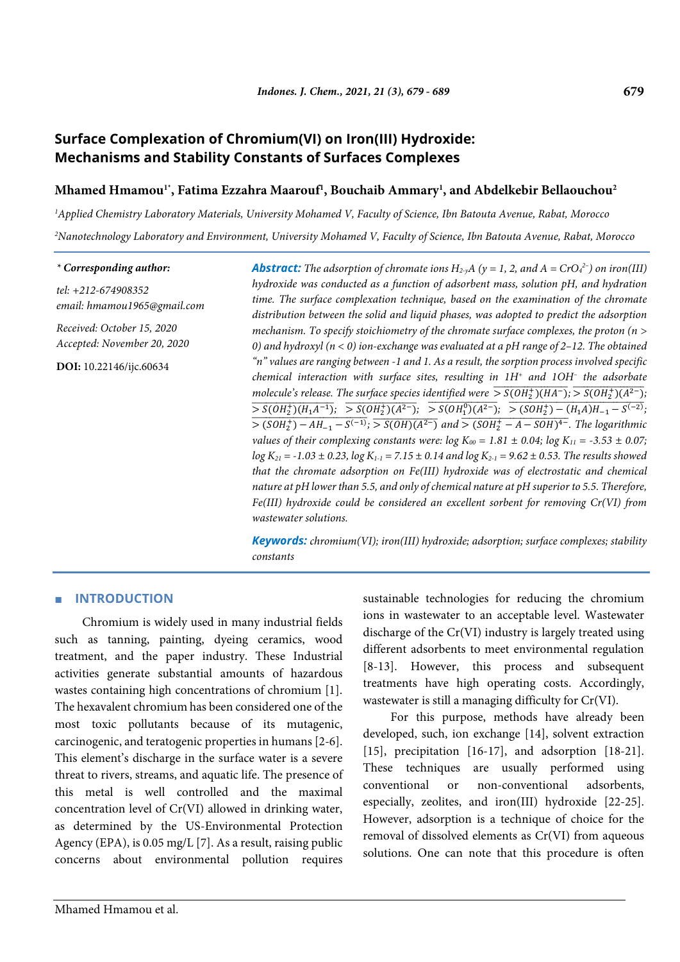### 679

# Surface Complexation of Chromium(VI) on Iron(III) Hydroxide: **Mechanisms and Stability Constants of Surfaces Complexes**

# Mhamed Hmamou<sup>1</sup><sup>\*</sup>, Fatima Ezzahra Maarouf<sup>1</sup>, Bouchaib Ammary<sup>1</sup>, and Abdelkebir Bellaouchou<sup>2</sup>

<sup>1</sup>Applied Chemistry Laboratory Materials, University Mohamed V, Faculty of Science, Ibn Batouta Avenue, Rabat, Morocco <sup>2</sup>Nanotechnology Laboratory and Environment, University Mohamed V, Faculty of Science, Ibn Batouta Avenue, Rabat, Morocco

#### \* Corresponding author:

tel: +212-674908352 email: hmamou1965@gmail.com

Received: October 15, 2020 Accepted: November 20, 2020

DOI: 10.22146/ijc.60634

**Abstract:** The adsorption of chromate ions  $H_2 \, A$  ( $y = 1, 2,$  and  $A = CrO_4^{2-}$ ) on iron(III) hydroxide was conducted as a function of adsorbent mass, solution pH, and hydration time. The surface complexation technique, based on the examination of the chromate distribution between the solid and liquid phases, was adopted to predict the adsorption mechanism. To specify stoichiometry of the chromate surface complexes, the proton ( $n >$ 0) and hydroxyl ( $n < 0$ ) ion-exchange was evaluated at a pH range of 2-12. The obtained "n" values are ranging between -1 and 1. As a result, the sorption process involved specific chemical interaction with surface sites, resulting in 1H<sup>+</sup> and 1OH<sup>-</sup> the adsorbate molecule's release. The surface species identified were  $\frac{1}{5}S(OH_2^+)(HA^-);$   $\frac{1}{5}S(OH_2^+)(A^{2-});$  $\frac{1}{\sqrt{S(OH_2^+)(H_1A^{-1})}}$ ;  $\frac{1}{\sqrt{S(OH_2^+)(A^{2-})}}$ ;  $\frac{1}{\sqrt{S(OH_2^0)(A^{2-})}}$ ;  $\frac{1}{\sqrt{S(OH_2^+)-(H_1A)H_{-1}-S^{(-2)}}}$ ;  $\frac{1}{\sqrt{1-1}}$   $\frac{1}{\sqrt{1-1}}$   $\frac{1}{\sqrt{1-1}}$   $\frac{1}{\sqrt{1-1}}$   $\frac{1}{\sqrt{1-1}}$   $\frac{1}{\sqrt{1-1}}$   $\frac{1}{\sqrt{1-1}}$   $\frac{1}{\sqrt{1-1}}$   $\frac{1}{\sqrt{1-1}}$   $\frac{1}{\sqrt{1-1}}$   $\frac{1}{\sqrt{1-1}}$   $\frac{1}{\sqrt{1-1}}$   $\frac{1}{\sqrt{1-1}}$   $\frac{1}{\sqrt{1-1}}$   $\frac{1}{\sqrt{1$ values of their complexing constants were:  $log K_{00} = 1.81 \pm 0.04$ ;  $log K_{11} = -3.53 \pm 0.07$ ;  $log K_{21} = -1.03 \pm 0.23$ ,  $log K_{1-1} = 7.15 \pm 0.14$  and  $log K_{2-1} = 9.62 \pm 0.53$ . The results showed that the chromate adsorption on Fe(III) hydroxide was of electrostatic and chemical nature at pH lower than 5.5, and only of chemical nature at pH superior to 5.5. Therefore, Fe(III) hydroxide could be considered an excellent sorbent for removing Cr(VI) from wastewater solutions.

**Keywords:** chromium(VI); iron(III) hydroxide; adsorption; surface complexes; stability constants

# **INTRODUCTION**

Chromium is widely used in many industrial fields such as tanning, painting, dyeing ceramics, wood treatment, and the paper industry. These Industrial activities generate substantial amounts of hazardous wastes containing high concentrations of chromium [1]. The hexavalent chromium has been considered one of the most toxic pollutants because of its mutagenic, carcinogenic, and teratogenic properties in humans [2-6]. This element's discharge in the surface water is a severe threat to rivers, streams, and aquatic life. The presence of this metal is well controlled and the maximal concentration level of Cr(VI) allowed in drinking water, as determined by the US-Environmental Protection Agency (EPA), is 0.05 mg/L [7]. As a result, raising public concerns about environmental pollution requires sustainable technologies for reducing the chromium ions in wastewater to an acceptable level. Wastewater discharge of the Cr(VI) industry is largely treated using different adsorbents to meet environmental regulation [8-13]. However, this process and subsequent treatments have high operating costs. Accordingly, wastewater is still a managing difficulty for Cr(VI).

For this purpose, methods have already been developed, such, ion exchange [14], solvent extraction [15], precipitation [16-17], and adsorption [18-21]. These techniques are usually performed using non-conventional conventional adsorbents, **or** especially, zeolites, and iron(III) hydroxide [22-25]. However, adsorption is a technique of choice for the removal of dissolved elements as Cr(VI) from aqueous solutions. One can note that this procedure is often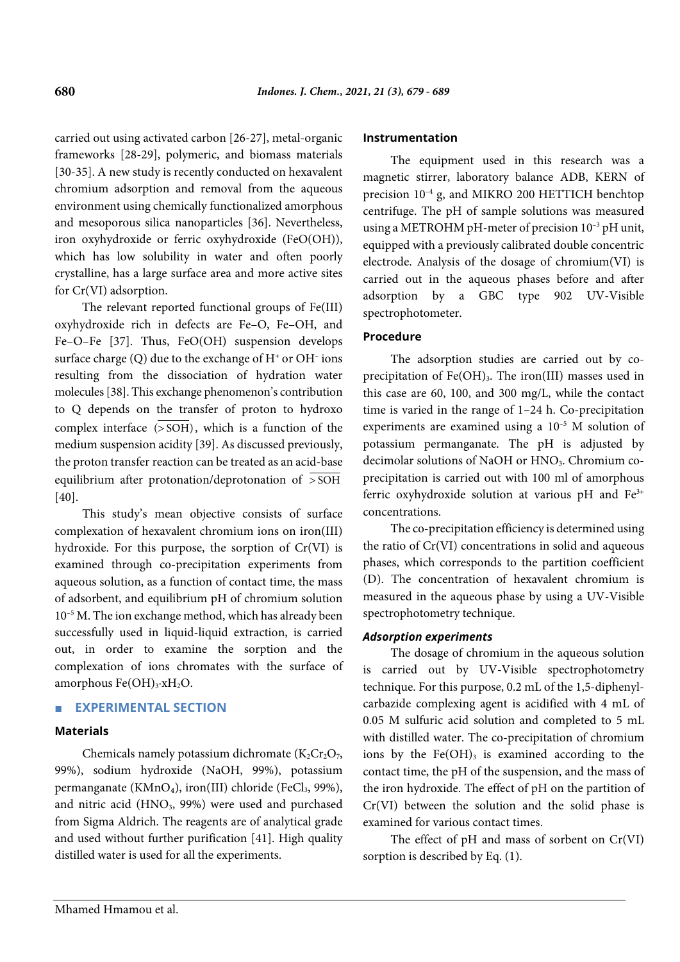carried out using activated carbon [26-27], metal-organic frameworks [28-29], polymeric, and biomass materials [30-35]. A new study is recently conducted on hexavalent chromium adsorption and removal from the aqueous environment using chemically functionalized amorphous and mesoporous silica nanoparticles [36]. Nevertheless, iron oxyhydroxide or ferric oxyhydroxide (FeO(OH)), which has low solubility in water and often poorly crystalline, has a large surface area and more active sites for Cr(VI) adsorption.

The relevant reported functional groups of Fe(III) oxyhydroxide rich in defects are Fe–O, Fe–OH, and Fe–O–Fe [37]. Thus, FeO(OH) suspension develops surface charge  $(Q)$  due to the exchange of  $H^+$  or  $OH^-$  ions resulting from the dissociation of hydration water molecules [38]. This exchange phenomenon's contribution to Q depends on the transfer of proton to hydroxo complex interface  $(>\delta$ SOH), which is a function of the medium suspension acidity [39]. As discussed previously, the proton transfer reaction can be treated as an acid-base equilibrium after protonation/deprotonation of > SOH [40].

This study's mean objective consists of surface complexation of hexavalent chromium ions on iron(III) hydroxide. For this purpose, the sorption of Cr(VI) is examined through co-precipitation experiments from aqueous solution, as a function of contact time, the mass of adsorbent, and equilibrium pH of chromium solution 10–5 M. The ion exchange method, which has already been successfully used in liquid-liquid extraction, is carried out, in order to examine the sorption and the complexation of ions chromates with the surface of amorphous Fe(OH)3·xH<sub>2</sub>O.

# ■ **EXPERIMENTAL SECTION**

#### **Materials**

Chemicals namely potassium dichromate  $(K_2Cr_2O_7)$ , 99%), sodium hydroxide (NaOH, 99%), potassium permanganate (KMnO<sub>4</sub>), iron(III) chloride (FeCl<sub>3</sub>, 99%), and nitric acid (HNO<sub>3</sub>, 99%) were used and purchased from Sigma Aldrich. The reagents are of analytical grade and used without further purification [41]. High quality distilled water is used for all the experiments.

#### **Instrumentation**

The equipment used in this research was a magnetic stirrer, laboratory balance ADB, KERN of precision  $10^{-4}$  g, and MIKRO 200 HETTICH benchtop centrifuge. The pH of sample solutions was measured using a METROHM pH-meter of precision  $10^{-3}$  pH unit, equipped with a previously calibrated double concentric electrode. Analysis of the dosage of chromium(VI) is carried out in the aqueous phases before and after adsorption by a GBC type 902 UV-Visible spectrophotometer.

#### **Procedure**

The adsorption studies are carried out by coprecipitation of  $Fe(OH)_{3}$ . The iron(III) masses used in this case are 60, 100, and 300 mg/L, while the contact time is varied in the range of 1–24 h. Co-precipitation experiments are examined using a 10–5 M solution of potassium permanganate. The pH is adjusted by decimolar solutions of NaOH or HNO<sub>3</sub>. Chromium coprecipitation is carried out with 100 ml of amorphous ferric oxyhydroxide solution at various pH and Fe<sup>3+</sup> concentrations.

The co-precipitation efficiency is determined using the ratio of Cr(VI) concentrations in solid and aqueous phases, which corresponds to the partition coefficient (D). The concentration of hexavalent chromium is measured in the aqueous phase by using a UV-Visible spectrophotometry technique.

# *Adsorption experiments*

The dosage of chromium in the aqueous solution is carried out by UV-Visible spectrophotometry technique. For this purpose, 0.2 mL of the 1,5-diphenylcarbazide complexing agent is acidified with 4 mL of 0.05 M sulfuric acid solution and completed to 5 mL with distilled water. The co-precipitation of chromium ions by the  $Fe(OH)_{3}$  is examined according to the contact time, the pH of the suspension, and the mass of the iron hydroxide. The effect of pH on the partition of Cr(VI) between the solution and the solid phase is examined for various contact times.

The effect of pH and mass of sorbent on Cr(VI) sorption is described by Eq. (1).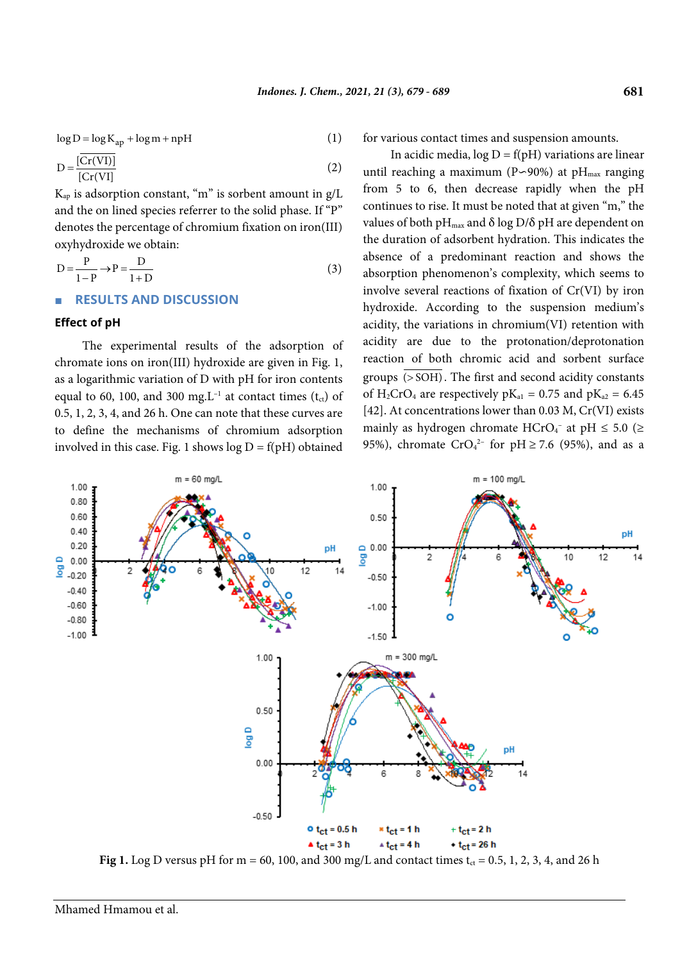$\log D = \log K_{ap} + \log m + npH$  (1)

$$
D = \frac{\overline{[Cr(VI)]}}{\overline{[Cr(VI)]}}
$$
 (2)

 $K_{ap}$  is adsorption constant, "m" is sorbent amount in  $g/L$ and the on lined species referrer to the solid phase. If "P" denotes the percentage of chromium fixation on iron(III) oxyhydroxide we obtain:

$$
D = \frac{P}{1 - P} \rightarrow P = \frac{D}{1 + D}
$$
\n(3)

#### ■ **RESULTS AND DISCUSSION**

#### **Effect of pH**

The experimental results of the adsorption of chromate ions on iron(III) hydroxide are given in Fig. 1, as a logarithmic variation of D with pH for iron contents equal to 60, 100, and 300 mg.L<sup>-1</sup> at contact times ( $t_{ct}$ ) of 0.5, 1, 2, 3, 4, and 26 h. One can note that these curves are to define the mechanisms of chromium adsorption involved in this case. Fig. 1 shows  $log D = f(pH)$  obtained for various contact times and suspension amounts.

In acidic media,  $log D = f(pH)$  variations are linear until reaching a maximum (P∽90%) at pH<sub>max</sub> ranging from 5 to 6, then decrease rapidly when the pH continues to rise. It must be noted that at given "m," the values of both pH<sub>max</sub> and  $\delta$  log D/ $\delta$  pH are dependent on the duration of adsorbent hydration. This indicates the absence of a predominant reaction and shows the absorption phenomenon's complexity, which seems to involve several reactions of fixation of Cr(VI) by iron hydroxide. According to the suspension medium's acidity, the variations in chromium(VI) retention with acidity are due to the protonation/deprotonation reaction of both chromic acid and sorbent surface groups  $\overline{(>SOH)}$ . The first and second acidity constants of H<sub>2</sub>CrO<sub>4</sub> are respectively  $pK_{a1} = 0.75$  and  $pK_{a2} = 6.45$ [42]. At concentrations lower than 0.03 M, Cr(VI) exists mainly as hydrogen chromate  $HCrO<sub>4</sub>$ <sup>-</sup> at pH  $\leq 5.0$  ( $\geq$ 95%), chromate  $CrO<sub>4</sub><sup>2</sup>$  for pH  $\geq$  7.6 (95%), and as a



**Fig 1.** Log D versus pH for  $m = 60$ , 100, and 300 mg/L and contact times  $t_{ct} = 0.5$ , 1, 2, 3, 4, and 26 h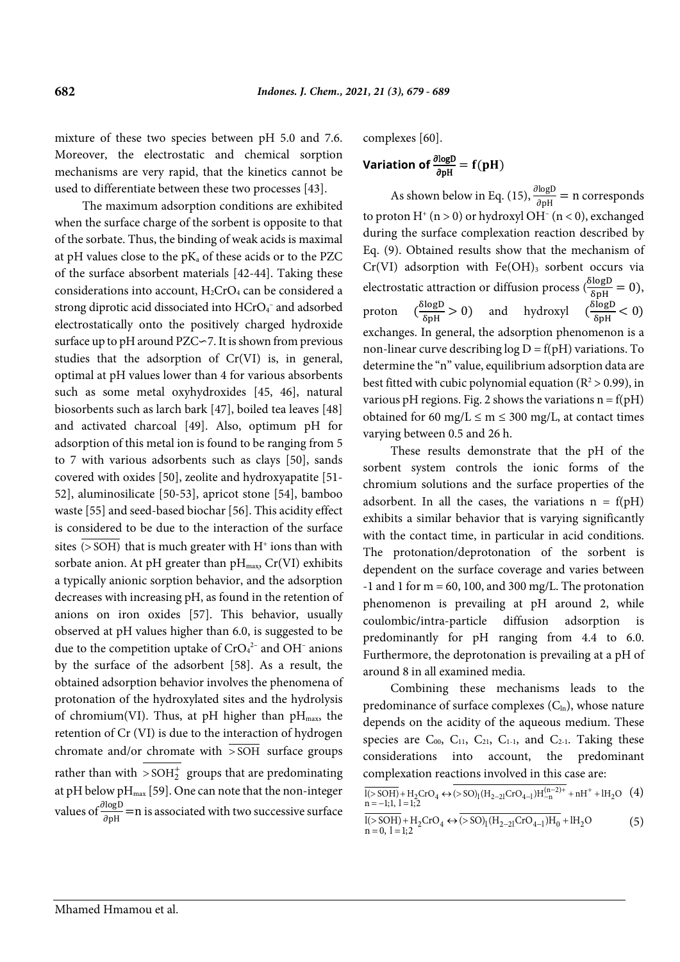mixture of these two species between pH 5.0 and 7.6. Moreover, the electrostatic and chemical sorption mechanisms are very rapid, that the kinetics cannot be used to differentiate between these two processes [43].

The maximum adsorption conditions are exhibited when the surface charge of the sorbent is opposite to that of the sorbate. Thus, the binding of weak acids is maximal at pH values close to the pKa of these acids or to the PZC of the surface absorbent materials [42-44]. Taking these considerations into account,  $H_2CrO_4$  can be considered a strong diprotic acid dissociated into HCrO<sub>4</sub><sup>-</sup> and adsorbed electrostatically onto the positively charged hydroxide surface up to pH around PZC∽7. It is shown from previous studies that the adsorption of Cr(VI) is, in general, optimal at pH values lower than 4 for various absorbents such as some metal oxyhydroxides [45, 46], natural biosorbents such as larch bark [47], boiled tea leaves [48] and activated charcoal [49]. Also, optimum pH for adsorption of this metal ion is found to be ranging from 5 to 7 with various adsorbents such as clays [50], sands covered with oxides [50], zeolite and hydroxyapatite [51- 52], aluminosilicate [50-53], apricot stone [54], bamboo waste [55] and seed-based biochar [56]. This acidity effect is considered to be due to the interaction of the surface sites  $(50H)$  that is much greater with H<sup>+</sup> ions than with sorbate anion. At pH greater than  $pH_{\text{max}}$ , Cr(VI) exhibits a typically anionic sorption behavior, and the adsorption decreases with increasing pH, as found in the retention of anions on iron oxides [57]. This behavior, usually observed at pH values higher than 6.0, is suggested to be due to the competition uptake of  $CrO<sub>4</sub><sup>2-</sup>$  and OH<sup>-</sup> anions by the surface of the adsorbent [58]. As a result, the obtained adsorption behavior involves the phenomena of protonation of the hydroxylated sites and the hydrolysis of chromium(VI). Thus, at pH higher than  $pH_{\text{max}}$ , the retention of Cr (VI) is due to the interaction of hydrogen chromate and/or chromate with  $\overline{\text{SOH}}$  surface groups rather than with  $>$  SOH $_2^+$  groups that are predominating at pH below p $H_{max}$  [59]. One can note that the non-integer values of  $\frac{\partial \log D}{\partial pH}$  = n is associated with two successive surface complexes [60].

Variation of 
$$
\frac{\partial \text{log}D}{\partial pH} = f(pH)
$$

As shown below in Eq. (15),  $\frac{\partial \log D}{\partial pH}$  = n corresponds to proton  $H^+(n > 0)$  or hydroxyl OH $^-(n < 0)$ , exchanged during the surface complexation reaction described by Eq. (9). Obtained results show that the mechanism of  $Cr(VI)$  adsorption with  $Fe(OH)_{3}$  sorbent occurs via electrostatic attraction or diffusion process  $(\frac{\delta \log D}{\delta p H} = 0)$ , proton  $\left(\frac{\delta \log D}{\delta p H} > 0\right)$  and hydroxyl  $\left(\frac{\delta \log D}{\delta p H} < 0\right)$ exchanges. In general, the adsorption phenomenon is a non-linear curve describing  $log D = f(pH)$  variations. To determine the "n" value, equilibrium adsorption data are best fitted with cubic polynomial equation ( $R^2 > 0.99$ ), in various pH regions. Fig. 2 shows the variations  $n = f(pH)$ obtained for 60 mg/L  $\leq$  m  $\leq$  300 mg/L, at contact times varying between 0.5 and 26 h.

These results demonstrate that the pH of the sorbent system controls the ionic forms of the chromium solutions and the surface properties of the adsorbent. In all the cases, the variations  $n = f(pH)$ exhibits a similar behavior that is varying significantly with the contact time, in particular in acid conditions. The protonation/deprotonation of the sorbent is dependent on the surface coverage and varies between  $-1$  and 1 for m = 60, 100, and 300 mg/L. The protonation phenomenon is prevailing at pH around 2, while coulombic**/**intra-particle diffusion adsorption is predominantly for pH ranging from 4.4 to 6.0. Furthermore, the deprotonation is prevailing at a pH of around 8 in all examined media.

Combining these mechanisms leads to the predominance of surface complexes  $(C<sub>ln</sub>)$ , whose nature depends on the acidity of the aqueous medium. These species are  $C_{00}$ ,  $C_{11}$ ,  $C_{21}$ ,  $C_{1-1}$ , and  $C_{2-1}$ . Taking these considerations into account, the predominant complexation reactions involved in this case are:

$$
\frac{\overline{I(s\text{SOH})} + H_2\text{CrO}_4 \leftrightarrow (> \text{SO})_1 (H_{2-21}\text{CrO}_{4-1})H_{-n}^{(n-2)+} + nH^+ + lH_2O \quad (4)}{n = -1; 1, 1 = 1; 2}
$$

$$
\frac{\overline{I(s\,SOH)} + H_2CrO_4 \leftrightarrow \overline{(s\,SO)_1(H_{2-21}CrO_{4-1})H_0} + IH_2O}{n = 0, l = 1;2}
$$
 (5)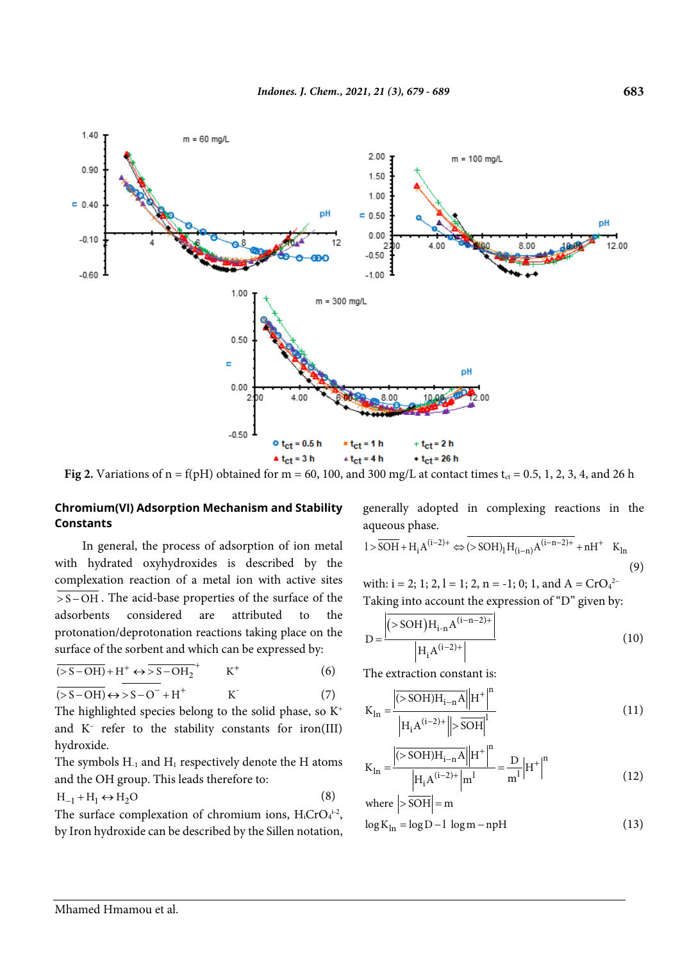

**Fig 2.** Variations of  $n = f(pH)$  obtained for  $m = 60$ , 100, and 300 mg/L at contact times  $t_{ct} = 0.5$ , 1, 2, 3, 4, and 26 h

# **Chromium(VI) Adsorption Mechanism and Stability Constants**

In general, the process of adsorption of ion metal with hydrated oxyhydroxides is described by the complexation reaction of a metal ion with active sites  $\overline{\text{S}-\text{OH}}$ . The acid-base properties of the surface of the adsorbents considered are attributed to the protonation/deprotonation reactions taking place on the surface of the sorbent and which can be expressed by:

$$
\overline{(>S-OH)} + H^{+} \leftrightarrow \overline{>S-OH_{2}}^{+} \qquad K^{+}
$$
 (6)

 $\overline{(>S-OH)} \leftrightarrow >S-O^- + H^+$  K (7)

The highlighted species belong to the solid phase, so  $K^+$ and K– refer to the stability constants for iron(III) hydroxide.

The symbols  $H_{-1}$  and  $H_1$  respectively denote the H atoms and the OH group. This leads therefore to:

$$
H_{-1} + H_1 \leftrightarrow H_2O \tag{8}
$$

The surface complexation of chromium ions,  $H_i$ CrO $_4$ <sup>1-2</sup>, by Iron hydroxide can be described by the Sillen notation,

generally adopted in complexing reactions in the aqueous phase.

$$
l > \overline{SOH} + H_i A^{(i-2)+} \Leftrightarrow (> SOH)_l H_{(i-n)} A^{(i-n-2)+} + n H^+ \quad K_{ln} \tag{9}
$$

with:  $i = 2$ ; 1; 2, 1 = 1; 2, n = -1; 0; 1, and A = CrO<sub>4</sub><sup>2</sup> Taking into account the expression of "D" given by:

$$
D = \frac{\left| ({}^{>SOH})H_{i-n}A^{(i-n-2)+} \right|}{\left| H_i A^{(i-2)+} \right|}
$$
\n(10)

The extraction constant is:

$$
K_{\text{ln}} = \frac{\left| \overline{(>SOH)H_{i-n}A} \right|}{\left| H_i A^{(i-2)+} \right| \left| > \overline{SOH} \right|^l} \tag{11}
$$

$$
K_{\text{ln}} = \frac{\left| \overline{(>SOH)H_{i-n}A} \right|}{\left| H_i A^{(i-2)+} \right| m^1} = \frac{D}{m^1} \left| H^+ \right|^n \tag{12}
$$

where 
$$
|>|\overline{SOH}| = m
$$
  
\n $\log K_{\ln} = \log D - 1 \log m - npH$  (13)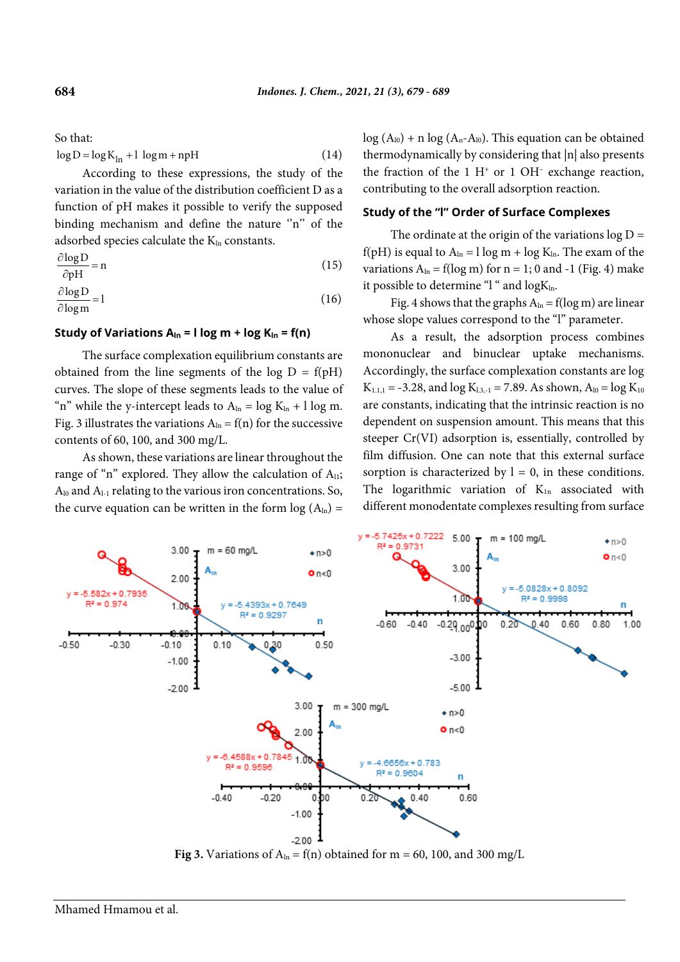So that:

$$
\log D = \log K_{\ln} + 1 \log m + npH \tag{14}
$$

According to these expressions, the study of the variation in the value of the distribution coefficient D as a function of pH makes it possible to verify the supposed binding mechanism and define the nature "n" of the adsorbed species calculate the Kln constants.

$$
\frac{\partial \log D}{\partial pH} = n \tag{15}
$$

$$
\frac{\partial \log D}{\partial \log m} = 1\tag{16}
$$

#### **Study of Variations**  $A_{\text{In}} = I \log m + \log K_{\text{In}} = f(n)$

The surface complexation equilibrium constants are obtained from the line segments of the log  $D = f(pH)$ curves. The slope of these segments leads to the value of "n" while the y-intercept leads to  $A_{\ln} = \log K_{\ln} + 1 \log m$ . Fig. 3 illustrates the variations  $A_{ln} = f(n)$  for the successive contents of 60, 100, and 300 mg/L.

As shown, these variations are linear throughout the range of "n" explored. They allow the calculation of  $A_{11}$ ; A<sub>l0</sub> and A<sub>l-1</sub> relating to the various iron concentrations. So, the curve equation can be written in the form  $log(A<sub>ln</sub>)$  =

 $log (A_{10}) + n log (A_n - A_{10})$ . This equation can be obtained thermodynamically by considering that |n| also presents the fraction of the 1  $H^+$  or 1 OH<sup>-</sup> exchange reaction, contributing to the overall adsorption reaction.

# **Study of the "l" Order of Surface Complexes**

The ordinate at the origin of the variations  $log D =$ f(pH) is equal to  $A_{ln} = 1$  log m + log  $K_{ln}$ . The exam of the variations  $A_{ln} = f(log m)$  for  $n = 1$ ; 0 and -1 (Fig. 4) make it possible to determine " $l$ " and  $log K_{ln}$ .

Fig. 4 shows that the graphs  $A_{ln} = f(log m)$  are linear whose slope values correspond to the "l" parameter.

As a result, the adsorption process combines mononuclear and binuclear uptake mechanisms. Accordingly, the surface complexation constants are log  $K_{1,1,1} = -3.28$ , and  $\log K_{1,3,-1} = 7.89$ . As shown,  $A_{10} = \log K_{10}$ are constants, indicating that the intrinsic reaction is no dependent on suspension amount. This means that this steeper Cr(VI) adsorption is, essentially, controlled by film diffusion. One can note that this external surface sorption is characterized by  $l = 0$ , in these conditions. The logarithmic variation of  $K_{1n}$  associated with different monodentate complexes resulting from surface



**Fig 3.** Variations of  $A_{ln} = f(n)$  obtained for m = 60, 100, and 300 mg/L

**684**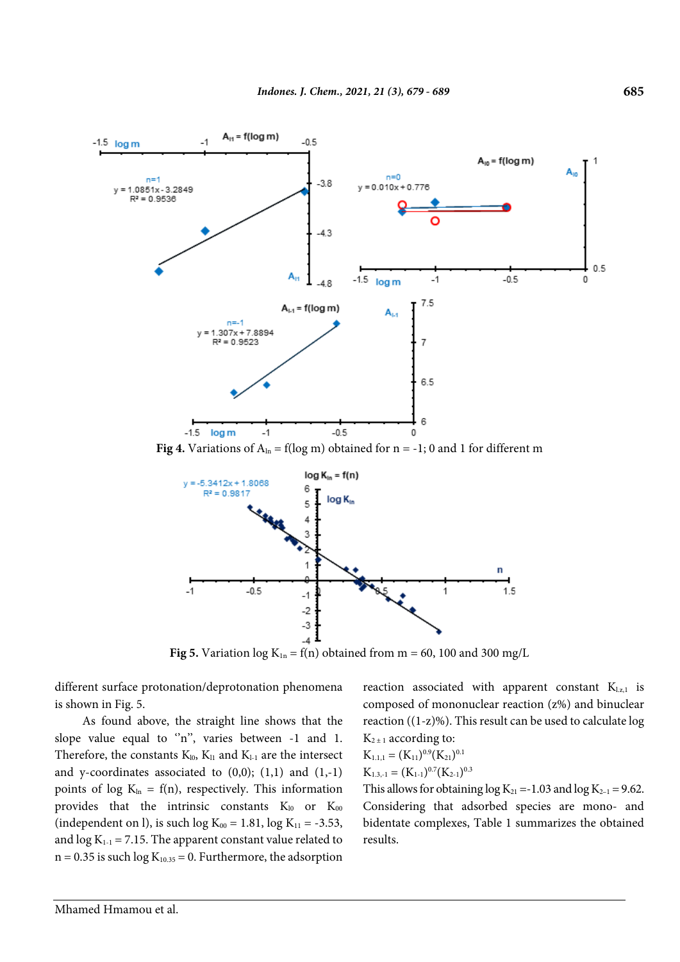

**Fig 4.** Variations of  $A_{ln} = f(log m)$  obtained for  $n = -1$ ; 0 and 1 for different m



**Fig 5.** Variation  $log K_{1n} = f(n)$  obtained from m = 60, 100 and 300 mg/L

different surface protonation/deprotonation phenomena is shown in Fig. 5.

As found above, the straight line shows that the slope value equal to  $n$ , varies between  $-1$  and 1. Therefore, the constants  $K_{10}$ ,  $K_{11}$  and  $K_{1-1}$  are the intersect and y-coordinates associated to  $(0,0)$ ;  $(1,1)$  and  $(1,-1)$ points of log  $K_{ln} = f(n)$ , respectively. This information provides that the intrinsic constants  $K_{10}$  or  $K_{00}$ (independent on l), is such  $log K_{00} = 1.81$ ,  $log K_{11} = -3.53$ , and  $\log K_{1-1} = 7.15$ . The apparent constant value related to  $n = 0.35$  is such  $log K_{10,35} = 0$ . Furthermore, the adsorption reaction associated with apparent constant  $K_{l,z,1}$  is composed of mononuclear reaction (z%) and binuclear reaction ((1-z)%). This result can be used to calculate log  $K_{2 \pm 1}$  according to:

$$
K_{1.1,1} = (K_{11})^{0.9} (K_{21})^{0.1}
$$
  

$$
K_{1.3,-1} = (K_{1-1})^{0.7} (K_{2-1})^{0.3}
$$

This allows for obtaining  $log K_{21} = -1.03$  and  $log K_{2-1} = 9.62$ . Considering that adsorbed species are mono- and bidentate complexes, Table 1 summarizes the obtained results.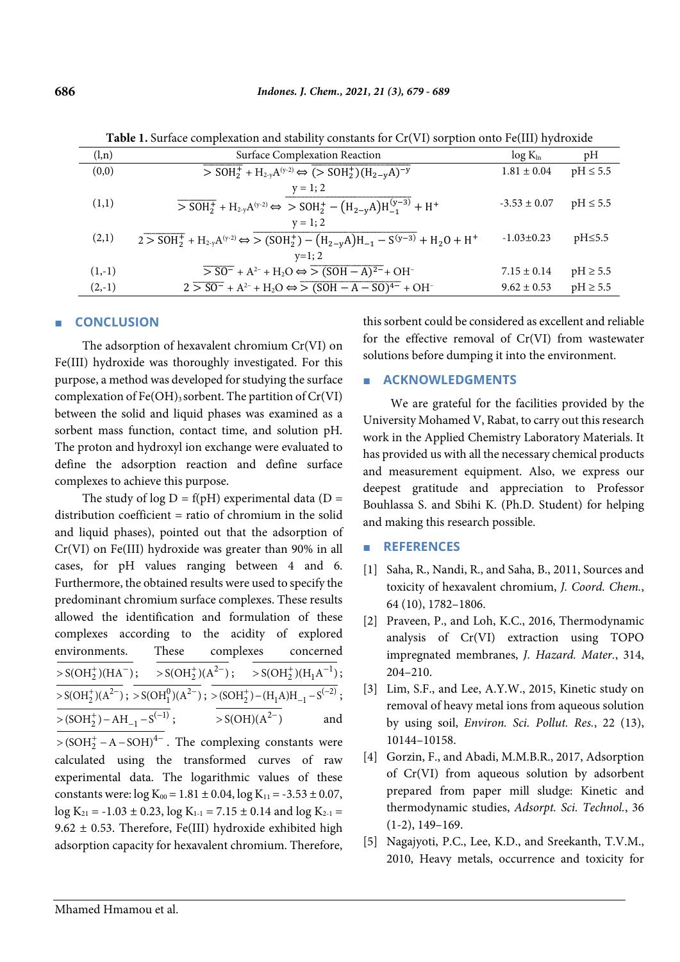| Twore it cannot complement in the stability constants for Ory (11) sorphesis onto I curry in an omno |                                                                                                                                                                                                               |                  |               |
|------------------------------------------------------------------------------------------------------|---------------------------------------------------------------------------------------------------------------------------------------------------------------------------------------------------------------|------------------|---------------|
| (l,n)                                                                                                | Surface Complexation Reaction                                                                                                                                                                                 | $log K_{ln}$     | pH            |
| (0,0)                                                                                                | $\frac{1}{5}$ SOH <sub>2</sub> <sup>+</sup> + H <sub>2-y</sub> A <sup>(y-2)</sup> $\Leftrightarrow$ $\frac{1}{5}$ ( $\frac{1}{5}$ SOH <sub>2</sub> <sup>+</sup> )(H <sub>2-y</sub> A) <sup>-y</sup>           | $1.81 \pm 0.04$  | $pH \leq 5.5$ |
|                                                                                                      | $y = 1; 2$                                                                                                                                                                                                    |                  |               |
| (1,1)                                                                                                | $\frac{1}{1}$ > SOH <sub>2</sub> <sup>+</sup> + H <sub>2-y</sub> A <sup>(y-2)</sup> $\Leftrightarrow$ > SOH <sub>2</sub> <sup>+</sup> - (H <sub>2-y</sub> A)H <sub>-1</sub> <sup>(y-3)</sup> + H <sup>+</sup> | $-3.53 \pm 0.07$ | $pH \leq 5.5$ |
|                                                                                                      | $y = 1; 2$                                                                                                                                                                                                    |                  |               |
| (2,1)                                                                                                | $2 > SOH_2^+ + H_{2y}A^{(y-2)} \Leftrightarrow S \left( SOH_2^+ \right) - \left( H_{2-y}A \right) H_{-1} - S^{(y-3)} + H_2O + H^+$                                                                            | $-1.03 \pm 0.23$ | $pH \le 5.5$  |
|                                                                                                      | $v=1$ ; 2                                                                                                                                                                                                     |                  |               |
| $(1,-1)$                                                                                             | $\overline{> SO^{-}} + A^{2-} + H_2O \Leftrightarrow \overline{> (SOH - A)^{2-}} + OH^{-}$                                                                                                                    | $7.15 \pm 0.14$  | $pH \geq 5.5$ |
| $(2,-1)$                                                                                             | $2\overline{>SO^{-}}+A^{2-}+H_{2}O \Leftrightarrow \overline{> (SOH-A-SO)^{4-}}+OH^{-}$                                                                                                                       | $9.62 \pm 0.53$  | $pH \geq 5.5$ |

Table 1. Surface complexation and stability constants for Cr(VI) sorption onto Fe(III) hydroxide

# **CONCLUSION**

The adsorption of hexavalent chromium Cr(VI) on Fe(III) hydroxide was thoroughly investigated. For this purpose, a method was developed for studying the surface complexation of  $Fe(OH)$ <sub>3</sub> sorbent. The partition of  $Cr(VI)$ between the solid and liquid phases was examined as a sorbent mass function, contact time, and solution pH. The proton and hydroxyl ion exchange were evaluated to define the adsorption reaction and define surface complexes to achieve this purpose.

The study of log  $D = f(pH)$  experimental data (D = distribution coefficient = ratio of chromium in the solid and liquid phases), pointed out that the adsorption of Cr(VI) on Fe(III) hydroxide was greater than 90% in all cases, for pH values ranging between 4 and 6. Furthermore, the obtained results were used to specify the predominant chromium surface complexes. These results allowed the identification and formulation of these complexes according to the acidity of explored environments. These complexes concerned  $\frac{1}{\sqrt{5(OH_2^+)(HA^-)}}$ ;  $\frac{1}{\sqrt{5(OH_2^+)(A^{2-})}}$ ;  $\frac{1}{\sqrt{5(OH_2^+)(H_1A^{-1})}}$ ;  $\frac{1}{\sqrt{56} \cdot \text{SOH}_2^+(A^2)}$ ;  $\frac{1}{\sqrt{56} \cdot \text{SOH}_1^0(A^2)}$ ;  $\frac{1}{\sqrt{56} \cdot \text{SOH}_2^+(-H_1A)H_{-1}^-(S^{(-2)})}$ ;  $\frac{}{>(\text{SOH}_2^+)-\text{AH}_{-1}-\text{S}^{(-1)}}$ ;  $>\frac{1}{\sqrt{SOH(A^{2-})}}$ and

 $\frac{1}{\sqrt{(SOH_2^+ - A - SOH)^{4-}}}$ . The complexing constants were calculated using the transformed curves of raw experimental data. The logarithmic values of these constants were:  $log K_{00} = 1.81 \pm 0.04$ ,  $log K_{11} = -3.53 \pm 0.07$ ,  $\log K_{21} = -1.03 \pm 0.23$ ,  $\log K_{1-1} = 7.15 \pm 0.14$  and  $\log K_{2-1} =$ 9.62  $\pm$  0.53. Therefore, Fe(III) hydroxide exhibited high adsorption capacity for hexavalent chromium. Therefore, this sorbent could be considered as excellent and reliable for the effective removal of Cr(VI) from wastewater solutions before dumping it into the environment.

# **ACKNOWLEDGMENTS**

We are grateful for the facilities provided by the University Mohamed V, Rabat, to carry out this research work in the Applied Chemistry Laboratory Materials. It has provided us with all the necessary chemical products and measurement equipment. Also, we express our deepest gratitude and appreciation to Professor Bouhlassa S. and Sbihi K. (Ph.D. Student) for helping and making this research possible.

#### **REFERENCES**  $\mathcal{L}_{\text{max}}$

- [1] Saha, R., Nandi, R., and Saha, B., 2011, Sources and toxicity of hexavalent chromium, J. Coord. Chem., 64 (10), 1782-1806.
- [2] Praveen, P., and Loh, K.C., 2016, Thermodynamic analysis of Cr(VI) extraction using TOPO impregnated membranes, J. Hazard. Mater., 314,  $204 - 210$ .
- [3] Lim, S.F., and Lee, A.Y.W., 2015, Kinetic study on removal of heavy metal ions from aqueous solution by using soil, Environ. Sci. Pollut. Res., 22 (13), 10144-10158.
- [4] Gorzin, F., and Abadi, M.M.B.R., 2017, Adsorption of Cr(VI) from aqueous solution by adsorbent prepared from paper mill sludge: Kinetic and thermodynamic studies, Adsorpt. Sci. Technol., 36  $(1-2), 149-169.$
- [5] Nagajyoti, P.C., Lee, K.D., and Sreekanth, T.V.M., 2010, Heavy metals, occurrence and toxicity for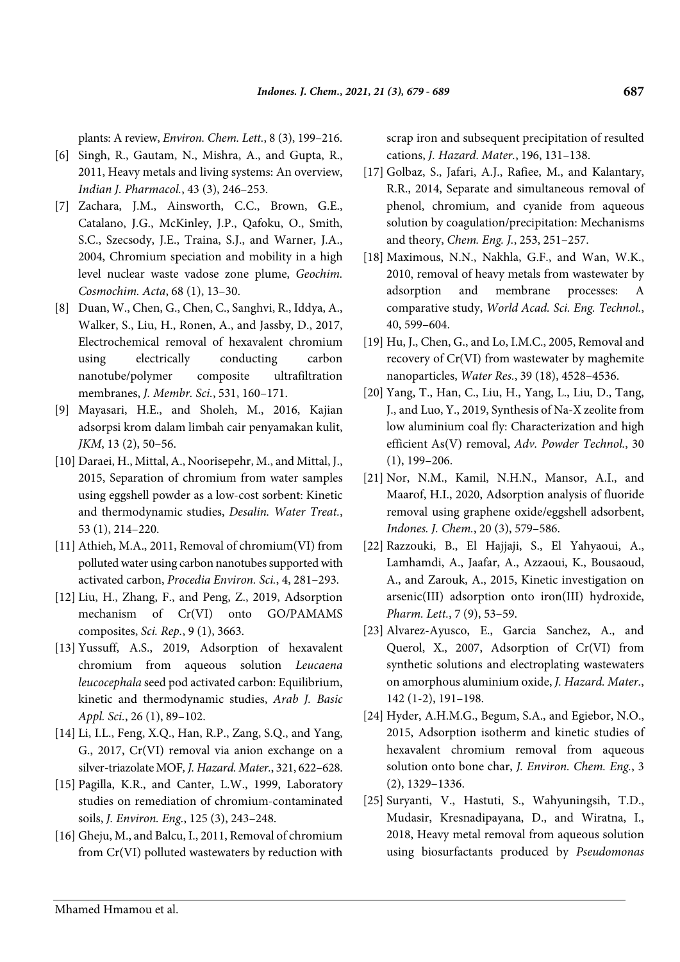plants: A review, *Environ. Chem. Lett.*, 8 (3), 199–216.

- [6] Singh, R., Gautam, N., Mishra, A., and Gupta, R., 2011, Heavy metals and living systems: An overview, *Indian J. Pharmacol.*, 43 (3), 246–253.
- [7] Zachara, J.M., Ainsworth, C.C., Brown, G.E., Catalano, J.G., McKinley, J.P., Qafoku, O., Smith, S.C., Szecsody, J.E., Traina, S.J., and Warner, J.A., 2004, Chromium speciation and mobility in a high level nuclear waste vadose zone plume, *Geochim. Cosmochim. Acta*, 68 (1), 13–30.
- [8] Duan, W., Chen, G., Chen, C., Sanghvi, R., Iddya, A., Walker, S., Liu, H., Ronen, A., and Jassby, D., 2017, Electrochemical removal of hexavalent chromium using electrically conducting carbon nanotube/polymer composite ultrafiltration membranes, *J. Membr. Sci.*, 531, 160–171.
- [9] Mayasari, H.E., and Sholeh, M., 2016, Kajian adsorpsi krom dalam limbah cair penyamakan kulit, *JKM*, 13 (2), 50–56.
- [10] Daraei, H., Mittal, A., Noorisepehr, M., and Mittal, J., 2015, Separation of chromium from water samples using eggshell powder as a low-cost sorbent: Kinetic and thermodynamic studies, *Desalin. Water Treat.*, 53 (1), 214–220.
- [11] Athieh, M.A., 2011, Removal of chromium(VI) from polluted water using carbon nanotubes supported with activated carbon, *Procedia Environ. Sci.*, 4, 281–293.
- [12] Liu, H., Zhang, F., and Peng, Z., 2019, Adsorption mechanism of Cr(VI) onto GO/PAMAMS composites, *Sci. Rep.*, 9 (1), 3663.
- [13] Yussuff, A.S., 2019, Adsorption of hexavalent chromium from aqueous solution *Leucaena leucocephala* seed pod activated carbon: Equilibrium, kinetic and thermodynamic studies, *Arab J. Basic Appl. Sci.*, 26 (1), 89–102.
- [14] Li, I.L., Feng, X.Q., Han, R.P., Zang, S.Q., and Yang, G., 2017, Cr(VI) removal via anion exchange on a silver-triazolate MOF*, J. Hazard. Mater.*, 321, 622–628.
- [15] Pagilla, K.R., and Canter, L.W., 1999, Laboratory studies on remediation of chromium-contaminated soils, *J. Environ. Eng.*, 125 (3), 243–248.
- [16] Gheju, M., and Balcu, I., 2011, Removal of chromium from Cr(VI) polluted wastewaters by reduction with

scrap iron and subsequent precipitation of resulted cations, *J. Hazard. Mater.*, 196, 131–138.

- [17] Golbaz, S., Jafari, A.J., Rafiee, M., and Kalantary, R.R., 2014, Separate and simultaneous removal of phenol, chromium, and cyanide from aqueous solution by coagulation/precipitation: Mechanisms and theory, *Chem. Eng. J.*, 253, 251–257.
- [18] Maximous, N.N., Nakhla, G.F., and Wan, W.K., 2010, removal of heavy metals from wastewater by adsorption and membrane processes: A comparative study, *World Acad. Sci. Eng. Technol.*, 40, 599–604.
- [19] Hu, J., Chen, G., and Lo, I.M.C., 2005, Removal and recovery of Cr(VI) from wastewater by maghemite nanoparticles, *Water Res.*, 39 (18), 4528–4536.
- [20] Yang, T., Han, C., Liu, H., Yang, L., Liu, D., Tang, J., and Luo, Y., 2019, Synthesis of Na-X zeolite from low aluminium coal fly: Characterization and high efficient As(V) removal, *Adv. Powder Technol.*, 30 (1), 199–206.
- [21] Nor, N.M., Kamil, N.H.N., Mansor, A.I., and Maarof, H.I., 2020, Adsorption analysis of fluoride removal using graphene oxide/eggshell adsorbent, *Indones. J. Chem.*, 20 (3), 579–586.
- [22] Razzouki, B., El Hajjaji, S., El Yahyaoui, A., Lamhamdi, A., Jaafar, A., Azzaoui, K., Bousaoud, A., and Zarouk, A., 2015, Kinetic investigation on arsenic(III) adsorption onto iron(III) hydroxide, *Pharm. Lett.*, 7 (9), 53–59.
- [23] Alvarez-Ayusco, E., Garcia Sanchez, A., and Querol, X., 2007, Adsorption of Cr(VI) from synthetic solutions and electroplating wastewaters on amorphous aluminium oxide, *J. Hazard. Mater.*, 142 (1-2), 191–198.
- [24] Hyder, A.H.M.G., Begum, S.A., and Egiebor, N.O., 2015, Adsorption isotherm and kinetic studies of hexavalent chromium removal from aqueous solution onto bone char, *J. Environ. Chem. Eng.*, 3 (2), 1329–1336.
- [25] Suryanti, V., Hastuti, S., Wahyuningsih, T.D., Mudasir, Kresnadipayana, D., and Wiratna, I., 2018, Heavy metal removal from aqueous solution using biosurfactants produced by *Pseudomonas*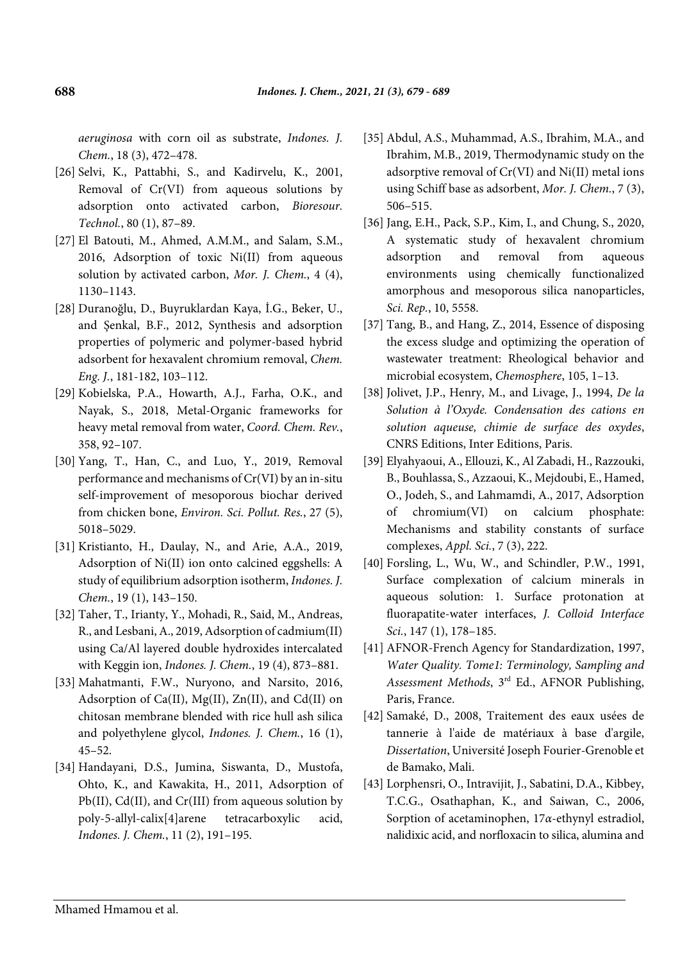*aeruginosa* with corn oil as substrate, *Indones. J. Chem.*, 18 (3), 472–478.

- [26] Selvi, K., Pattabhi, S., and Kadirvelu, K., 2001, Removal of Cr(VI) from aqueous solutions by adsorption onto activated carbon, *Bioresour. Technol.*, 80 (1), 87–89.
- [27] El Batouti, M., Ahmed, A.M.M., and Salam, S.M., 2016, Adsorption of toxic Ni(II) from aqueous solution by activated carbon, *Mor. J. Chem.*, 4 (4), 1130–1143.
- [28] Duranoğlu, D., Buyruklardan Kaya, İ.G., Beker, U., and Şenkal, B.F., 2012, Synthesis and adsorption properties of polymeric and polymer-based hybrid adsorbent for hexavalent chromium removal, *Chem. Eng. J.*, 181-182, 103–112.
- [29] Kobielska, P.A., Howarth, A.J., Farha, O.K., and Nayak, S., 2018, Metal-Organic frameworks for heavy metal removal from water, *Coord. Chem. Rev.*, 358, 92–107.
- [30] Yang, T., Han, C., and Luo, Y., 2019, Removal performance and mechanisms of Cr(VI) by an in-situ self-improvement of mesoporous biochar derived from chicken bone, *Environ. Sci. Pollut. Res.*, 27 (5), 5018–5029.
- [31] Kristianto, H., Daulay, N., and Arie, A.A., 2019, Adsorption of Ni(II) ion onto calcined eggshells: A study of equilibrium adsorption isotherm, *Indones. J. Chem.*, 19 (1), 143–150.
- [32] Taher, T., Irianty, Y., Mohadi, R., Said, M., Andreas, R., and Lesbani, A., 2019, Adsorption of cadmium(II) using Ca/Al layered double hydroxides intercalated with Keggin ion, *Indones. J. Chem.*, 19 (4), 873–881.
- [33] Mahatmanti, F.W., Nuryono, and Narsito, 2016, Adsorption of Ca(II),  $Mg(II)$ ,  $Zn(II)$ , and Cd(II) on chitosan membrane blended with rice hull ash silica and polyethylene glycol, *Indones. J. Chem.*, 16 (1), 45–52.
- [34] Handayani, D.S., Jumina, Siswanta, D., Mustofa, Ohto, K., and Kawakita, H., 2011, Adsorption of Pb(II), Cd(II), and Cr(III) from aqueous solution by poly-5-allyl-calix[4]arene tetracarboxylic acid, *Indones. J. Chem.*, 11 (2), 191–195.
- [35] Abdul, A.S., Muhammad, A.S., Ibrahim, M.A., and Ibrahim, M.B., 2019, Thermodynamic study on the adsorptive removal of Cr(VI) and Ni(II) metal ions using Schiff base as adsorbent, *Mor. J. Chem.*, 7 (3), 506–515.
- [36] Jang, E.H., Pack, S.P., Kim, I., and Chung, S., 2020, A systematic study of hexavalent chromium adsorption and removal from aqueous environments using chemically functionalized amorphous and mesoporous silica nanoparticles, *Sci. Rep.*, 10, 5558.
- [37] Tang, B., and Hang, Z., 2014, Essence of disposing the excess sludge and optimizing the operation of wastewater treatment: Rheological behavior and microbial ecosystem, *Chemosphere*, 105, 1–13.
- [38] Jolivet, J.P., Henry, M., and Livage, J., 1994, *De la Solution à l'Oxyde. Condensation des cations en solution aqueuse, chimie de surface des oxydes*, CNRS Editions, Inter Editions, Paris.
- [39] Elyahyaoui, A., Ellouzi, K., Al Zabadi, H., Razzouki, B., Bouhlassa, S., Azzaoui, K., Mejdoubi, E., Hamed, O., Jodeh, S., and Lahmamdi, A., 2017, Adsorption of chromium(VI) on calcium phosphate: Mechanisms and stability constants of surface complexes, *Appl. Sci.*, 7 (3), 222.
- [40] Forsling, L., Wu, W., and Schindler, P.W., 1991, Surface complexation of calcium minerals in aqueous solution: 1. Surface protonation at fluorapatite-water interfaces, *J. Colloid Interface Sci.*, 147 (1), 178–185.
- [41] AFNOR-French Agency for Standardization, 1997, *Water Quality. Tome1: Terminology, Sampling and Assessment Methods*, 3rd Ed., AFNOR Publishing, Paris, France.
- [42] Samaké, D., 2008, Traitement des eaux usées de tannerie à l'aide de matériaux à base d'argile, *Dissertation*, Université Joseph Fourier-Grenoble et de Bamako, Mali.
- [43] Lorphensri, O., Intravijit, J., Sabatini, D.A., Kibbey, T.C.G., Osathaphan, K., and Saiwan, C., 2006, Sorption of acetaminophen, 17*α*-ethynyl estradiol, nalidixic acid, and norfloxacin to silica, alumina and